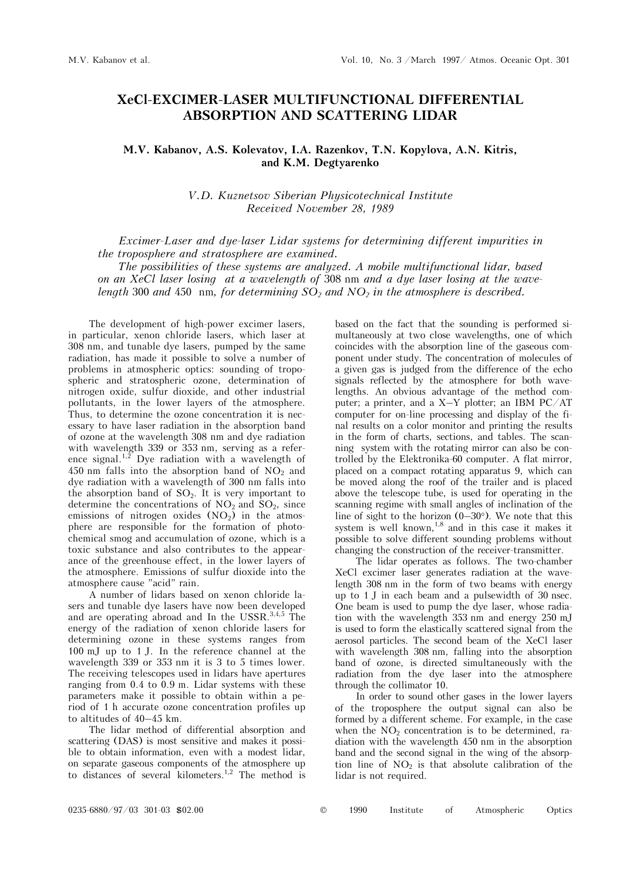## **XeCl-EXCIMER-LASER MULTIFUNCTIONAL DIFFERENTIAL ABSORPTION AND SCATTERING LIDAR**

## **Ì.V. Kabanov, A.S. Kolevatov, I.A. Razenkov, T.N. Kopylova, A.N. Kitris, and K.M. Degtyarenko**

*V.D. Kuznetsov Siberian Physicotechnical Institute Received November 28, 1989* 

*Excimer-Laser and dye-laser Lidar systems for determining different impurities in the troposphere and stratosphere are examined.*

*The possibilities of these systems are analyzed. A mobile multifunctional lidar, based on an XeCl laser losing at a wavelength of* 308 nm *and a dye laser losing at the wavelength* 300 *and* 450 nm, for determining  $SO_2$  and  $NO_2$  in the atmosphere is described.

The development of high-power excimer lasers, in particular, xenon chloride lasers, which laser at 308 nm, and tunable dye lasers, pumped by the same radiation, has made it possible to solve a number of problems in atmospheric optics: sounding of tropospheric and stratospheric ozone, determination of nitrogen oxide, sulfur dioxide, and other industrial pollutants, in the lower layers of the atmosphere. Thus, to determine the ozone concentration it is necessary to have laser radiation in the absorption band of ozone at the wavelength 308 nm and dye radiation with wavelength 339 or 353 nm, serving as a reference signal.<sup>1,2</sup> Dye radiation with a wavelength of 450 nm falls into the absorption band of  $NO<sub>2</sub>$  and dye radiation with a wavelength of 300 nm falls into the absorption band of  $SO_2$ . It is very important to determine the concentrations of  $NO<sub>2</sub>$  and  $SO<sub>2</sub>$ , since emissions of nitrogen oxides  $(NO<sub>2</sub>)$  in the atmosphere are responsible for the formation of photochemical smog and accumulation of ozone, which is a toxic substance and also contributes to the appearance of the greenhouse effect, in the lower layers of the atmosphere. Emissions of sulfur dioxide into the atmosphere cause "acid" rain.

A number of lidars based on xenon chloride lasers and tunable dye lasers have now been developed and are operating abroad and In the USSR. $3,4,5$  The energy of the radiation of xenon chloride lasers for determining ozone in these systems ranges from 100 mJ up to 1 J. In the reference channel at the wavelength 339 or 353 nm it is 3 to 5 times lower. The receiving telescopes used in lidars have apertures ranging from 0.4 to 0.9 m. Lidar systems with these parameters make it possible to obtain within a period of 1 h accurate ozone concentration profiles up to altitudes of 40–45 km.

The lidar method of differential absorption and scattering (DAS) is most sensitive and makes it possible to obtain information, even with a modest lidar, on separate gaseous components of the atmosphere up to distances of several kilometers.1,2 The method is based on the fact that the sounding is performed simultaneously at two close wavelengths, one of which coincides with the absorption line of the gaseous component under study. The concentration of molecules of a given gas is judged from the difference of the echo signals reflected by the atmosphere for both wavelengths. An obvious advantage of the method computer; a printer, and a X–Y plotter; an IBM PC/AT computer for on-line processing and display of the final results on a color monitor and printing the results in the form of charts, sections, and tables. The scanning system with the rotating mirror can also be controlled by the Elektronika-60 computer. A flat mirror, placed on a compact rotating apparatus 9, which can be moved along the roof of the trailer and is placed above the telescope tube, is used for operating in the scanning regime with small angles of inclination of the line of sight to the horizon  $(0-30^{\circ})$ . We note that this system is well known, $^{1,8}$  and in this case it makes it possible to solve different sounding problems without changing the construction of the receiver-transmitter.

The lidar operates as follows. The two-chamber XeCl excimer laser generates radiation at the wavelength 308 nm in the form of two beams with energy up to 1 J in each beam and a pulsewidth of 30 nsec. One beam is used to pump the dye laser, whose radiation with the wavelength 353 nm and energy 250 mJ is used to form the elastically scattered signal from the aerosol particles. The second beam of the XeCl laser with wavelength 308 nm, falling into the absorption band of ozone, is directed simultaneously with the radiation from the dye laser into the atmosphere through the collimator 10.

In order to sound other gases in the lower layers of the troposphere the output signal can also be formed by a different scheme. For example, in the case when the  $NO<sub>2</sub>$  concentration is to be determined, radiation with the wavelength 450 nm in the absorption band and the second signal in the wing of the absorption line of  $NO<sub>2</sub>$  is that absolute calibration of the lidar is not required.